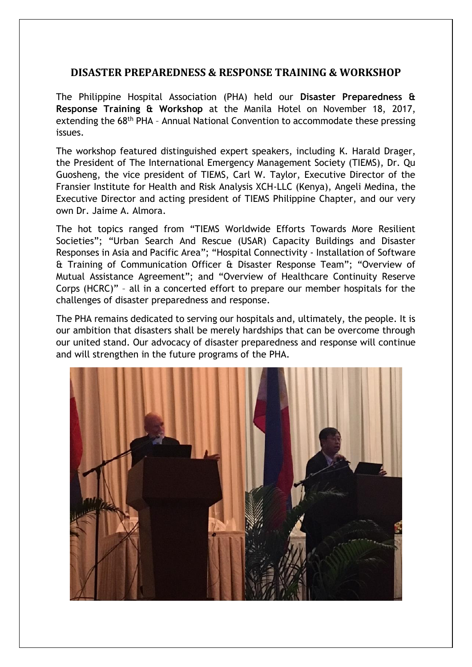## **DISASTER PREPAREDNESS & RESPONSE TRAINING & WORKSHOP**

The Philippine Hospital Association (PHA) held our **Disaster Preparedness & Response Training & Workshop** at the Manila Hotel on November 18, 2017, extending the 68<sup>th</sup> PHA - Annual National Convention to accommodate these pressing issues.

The workshop featured distinguished expert speakers, including K. Harald Drager, the President of The International Emergency Management Society (TIEMS), Dr. Qu Guosheng, the vice president of TIEMS, Carl W. Taylor, Executive Director of the Fransier Institute for Health and Risk Analysis XCH-LLC (Kenya), Angeli Medina, the Executive Director and acting president of TIEMS Philippine Chapter, and our very own Dr. Jaime A. Almora.

The hot topics ranged from "TIEMS Worldwide Efforts Towards More Resilient Societies"; "Urban Search And Rescue (USAR) Capacity Buildings and Disaster Responses in Asia and Pacific Area"; "Hospital Connectivity - Installation of Software & Training of Communication Officer & Disaster Response Team"; "Overview of Mutual Assistance Agreement"; and "Overview of Healthcare Continuity Reserve Corps (HCRC)" – all in a concerted effort to prepare our member hospitals for the challenges of disaster preparedness and response.

The PHA remains dedicated to serving our hospitals and, ultimately, the people. It is our ambition that disasters shall be merely hardships that can be overcome through our united stand. Our advocacy of disaster preparedness and response will continue and will strengthen in the future programs of the PHA.

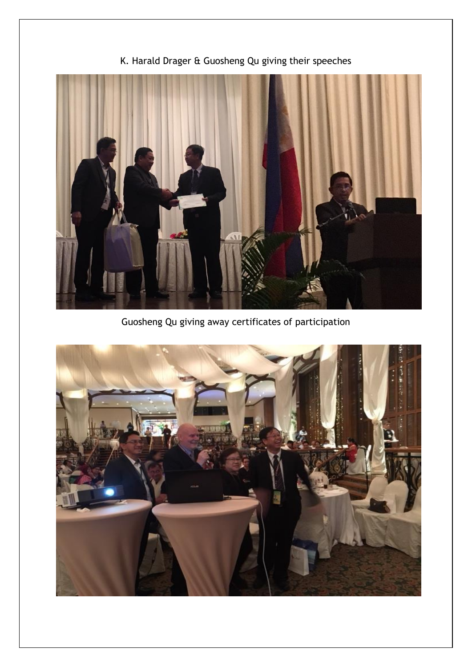

K. Harald Drager & Guosheng Qu giving their speeches

Guosheng Qu giving away certificates of participation